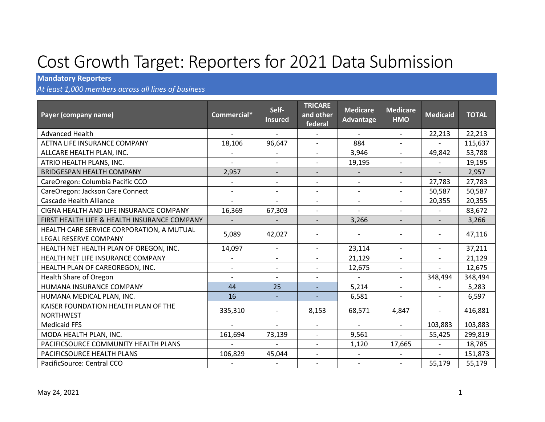## Cost Growth Target: Reporters for 2021 Data Submission

## **Mandatory Reporters**

*At least 1,000 members across all lines of business*

| Payer (company name)                                               | Commercial*              | Self-<br><b>Insured</b>     | <b>TRICARE</b><br>and other<br>federal | <b>Medicare</b><br>Advantage | <b>Medicare</b><br><b>HMO</b> | <b>Medicaid</b>          | <b>TOTAL</b> |
|--------------------------------------------------------------------|--------------------------|-----------------------------|----------------------------------------|------------------------------|-------------------------------|--------------------------|--------------|
| <b>Advanced Health</b>                                             |                          |                             |                                        |                              | $\overline{\phantom{a}}$      | 22,213                   | 22,213       |
| AETNA LIFE INSURANCE COMPANY                                       | 18,106                   | 96,647                      | $\overline{a}$                         | 884                          | $\blacksquare$                |                          | 115,637      |
| ALLCARE HEALTH PLAN, INC.                                          |                          | $\overline{\phantom{0}}$    | $\overline{\phantom{a}}$               | 3,946                        | $\blacksquare$                | 49,842                   | 53,788       |
| ATRIO HEALTH PLANS, INC.                                           |                          | $\blacksquare$              | $\overline{\phantom{a}}$               | 19,195                       | $\overline{\phantom{a}}$      |                          | 19,195       |
| <b>BRIDGESPAN HEALTH COMPANY</b>                                   | 2,957                    | $\overline{\phantom{a}}$    | $\overline{\phantom{a}}$               |                              | $\overline{\phantom{a}}$      |                          | 2,957        |
| CareOregon: Columbia Pacific CCO                                   |                          | $\overline{\phantom{a}}$    | $\overline{\phantom{a}}$               | $\overline{\phantom{a}}$     | $\sim$                        | 27,783                   | 27,783       |
| CareOregon: Jackson Care Connect                                   | $\overline{\phantom{0}}$ | $\blacksquare$              | $\blacksquare$                         | $\overline{\phantom{a}}$     | $\blacksquare$                | 50,587                   | 50,587       |
| <b>Cascade Health Alliance</b>                                     |                          |                             | $\overline{\phantom{a}}$               | $\overline{\phantom{a}}$     | $\overline{\phantom{a}}$      | 20,355                   | 20,355       |
| CIGNA HEALTH AND LIFE INSURANCE COMPANY                            | 16,369                   | 67,303                      | $\overline{a}$                         | $\overline{a}$               | $\overline{\phantom{a}}$      |                          | 83,672       |
| FIRST HEALTH LIFE & HEALTH INSURANCE COMPANY                       |                          |                             | $\overline{\phantom{a}}$               | 3,266                        | $\overline{\phantom{a}}$      | $\overline{\phantom{a}}$ | 3,266        |
| HEALTH CARE SERVICE CORPORATION, A MUTUAL<br>LEGAL RESERVE COMPANY | 5,089                    | 42,027                      | $\overline{\phantom{0}}$               |                              | $\overline{\phantom{a}}$      | $\overline{\phantom{a}}$ | 47,116       |
| HEALTH NET HEALTH PLAN OF OREGON, INC.                             | 14,097                   | $\blacksquare$              | $\blacksquare$                         | 23,114                       | $\blacksquare$                | $\overline{\phantom{a}}$ | 37,211       |
| HEALTH NET LIFE INSURANCE COMPANY                                  |                          | $\overline{\phantom{a}}$    | $\qquad \qquad \blacksquare$           | 21,129                       | $\overline{\phantom{a}}$      | $\overline{\phantom{a}}$ | 21,129       |
| HEALTH PLAN OF CAREOREGON, INC.                                    | $\overline{\phantom{a}}$ | $\overline{\phantom{a}}$    | $\overline{\phantom{a}}$               | 12,675                       | $\overline{\phantom{a}}$      | $\overline{a}$           | 12,675       |
| <b>Health Share of Oregon</b>                                      |                          | $\overline{a}$              | $\overline{\phantom{a}}$               |                              | $\blacksquare$                | 348,494                  | 348,494      |
| HUMANA INSURANCE COMPANY                                           | 44                       | 25                          | $\overline{\phantom{a}}$               | 5,214                        | $\overline{\phantom{a}}$      |                          | 5,283        |
| HUMANA MEDICAL PLAN, INC.                                          | 16                       | $\mathcal{L}_{\mathcal{A}}$ | $\overline{\phantom{a}}$               | 6,581                        | $\blacksquare$                | $\blacksquare$           | 6,597        |
| KAISER FOUNDATION HEALTH PLAN OF THE<br><b>NORTHWEST</b>           | 335,310                  | $\overline{\phantom{a}}$    | 8,153                                  | 68,571                       | 4,847                         | $\overline{\phantom{0}}$ | 416,881      |
| <b>Medicaid FFS</b>                                                |                          | $\overline{a}$              | $\overline{\phantom{a}}$               | $\overline{\phantom{a}}$     | $\overline{\phantom{a}}$      | 103,883                  | 103,883      |
| MODA HEALTH PLAN, INC.                                             | 161,694                  | 73,139                      | $\overline{\phantom{a}}$               | 9,561                        | $\overline{\phantom{a}}$      | 55,425                   | 299,819      |
| PACIFICSOURCE COMMUNITY HEALTH PLANS                               |                          | $\overline{a}$              | $\overline{\phantom{a}}$               | 1,120                        | 17,665                        | $\overline{\phantom{a}}$ | 18,785       |
| PACIFICSOURCE HEALTH PLANS                                         | 106,829                  | 45,044                      | $\overline{\phantom{a}}$               |                              |                               | $\overline{\phantom{0}}$ | 151,873      |
| PacificSource: Central CCO                                         |                          |                             | $\overline{\phantom{a}}$               | $\overline{\phantom{a}}$     | $\overline{\phantom{a}}$      | 55,179                   | 55,179       |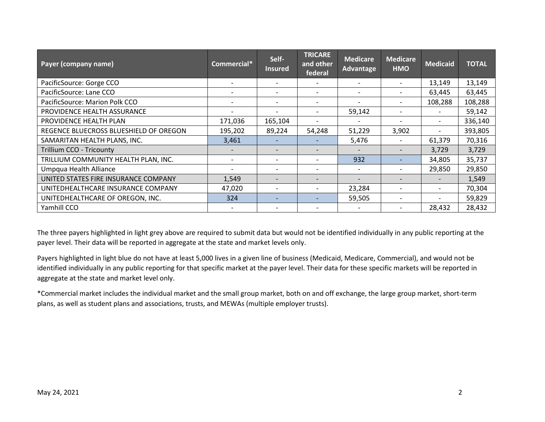| Payer (company name)                   | Commercial* | Self-<br><b>Insured</b>  | <b>TRICARE</b><br>and other<br>federal | <b>Medicare</b><br>Advantage | <b>Medicare</b><br><b>HMO</b> | <b>Medicaid</b>          | <b>TOTAL</b> |
|----------------------------------------|-------------|--------------------------|----------------------------------------|------------------------------|-------------------------------|--------------------------|--------------|
| PacificSource: Gorge CCO               |             |                          |                                        |                              | $\overline{\phantom{a}}$      | 13,149                   | 13,149       |
| PacificSource: Lane CCO                |             |                          |                                        |                              |                               | 63,445                   | 63,445       |
| PacificSource: Marion Polk CCO         |             |                          |                                        | $\overline{\phantom{a}}$     |                               | 108,288                  | 108,288      |
| PROVIDENCE HEALTH ASSURANCE            |             | $\overline{\phantom{a}}$ |                                        | 59,142                       | $\overline{\phantom{0}}$      | $\overline{\phantom{0}}$ | 59,142       |
| PROVIDENCE HEALTH PLAN                 | 171,036     | 165,104                  |                                        | $\overline{\phantom{0}}$     | $\overline{\phantom{0}}$      | $\overline{\phantom{a}}$ | 336,140      |
| REGENCE BLUECROSS BLUESHIELD OF OREGON | 195,202     | 89,224                   | 54,248                                 | 51,229                       | 3,902                         |                          | 393,805      |
| SAMARITAN HEALTH PLANS, INC.           | 3,461       |                          |                                        | 5,476                        | $\overline{\phantom{a}}$      | 61,379                   | 70,316       |
| <b>Trillium CCO - Tricounty</b>        |             |                          |                                        |                              |                               | 3,729                    | 3,729        |
| TRILLIUM COMMUNITY HEALTH PLAN, INC.   |             | $\overline{\phantom{a}}$ |                                        | 932                          | $\overline{\phantom{0}}$      | 34,805                   | 35,737       |
| Umpqua Health Alliance                 |             | $\overline{\phantom{a}}$ |                                        | $\overline{\phantom{a}}$     | $\overline{\phantom{0}}$      | 29,850                   | 29,850       |
| UNITED STATES FIRE INSURANCE COMPANY   | 1,549       |                          |                                        | $\qquad \qquad \blacksquare$ |                               |                          | 1,549        |
| UNITEDHEALTHCARE INSURANCE COMPANY     | 47,020      |                          |                                        | 23,284                       | $\overline{\phantom{a}}$      |                          | 70,304       |
| UNITEDHEALTHCARE OF OREGON, INC.       | 324         | $\overline{\phantom{0}}$ |                                        | 59,505                       | $\overline{\phantom{0}}$      |                          | 59,829       |
| Yamhill CCO                            |             |                          |                                        |                              |                               | 28,432                   | 28,432       |

The three payers highlighted in light grey above are required to submit data but would not be identified individually in any public reporting at the payer level. Their data will be reported in aggregate at the state and market levels only.

Payers highlighted in light blue do not have at least 5,000 lives in a given line of business (Medicaid, Medicare, Commercial), and would not be identified individually in any public reporting for that specific market at the payer level. Their data for these specific markets will be reported in aggregate at the state and market level only.

\*Commercial market includes the individual market and the small group market, both on and off exchange, the large group market, short-term plans, as well as student plans and associations, trusts, and MEWAs (multiple employer trusts).